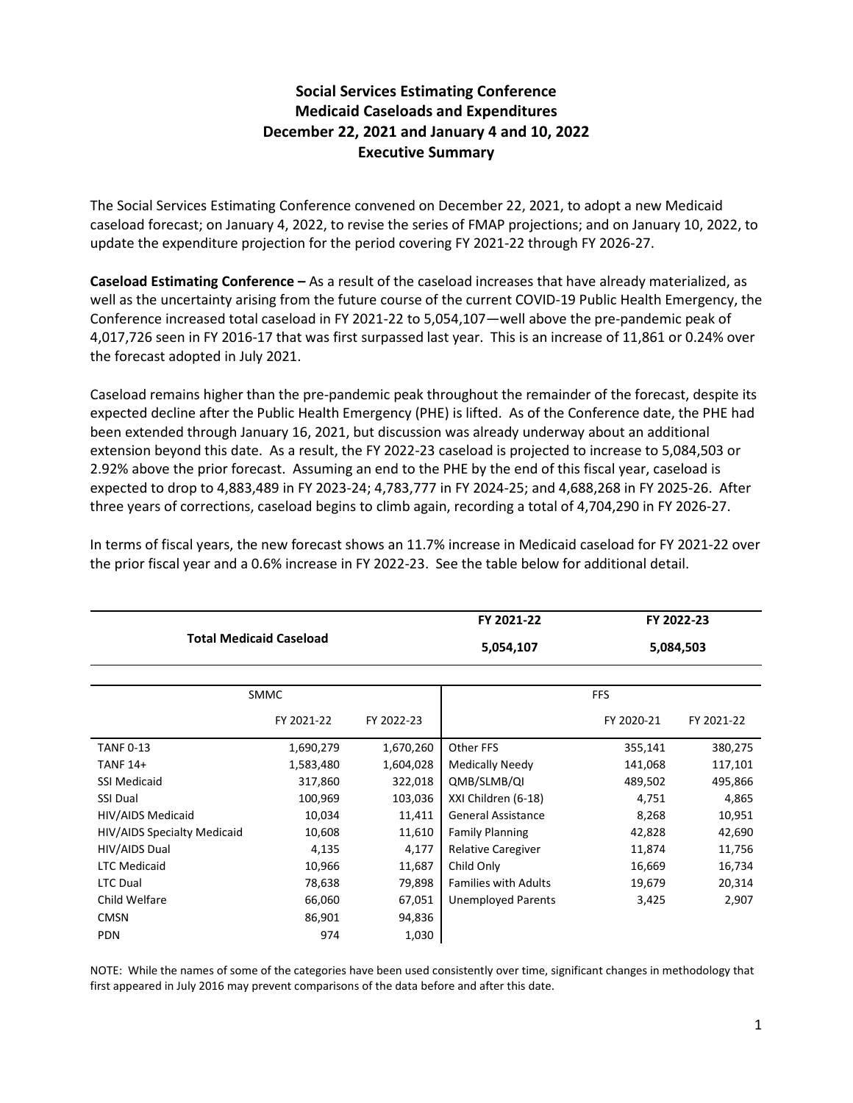## **Social Services Estimating Conference Medicaid Caseloads and Expenditures December 22, 2021 and January 4 and 10, 2022 Executive Summary**

The Social Services Estimating Conference convened on December 22, 2021, to adopt a new Medicaid caseload forecast; on January 4, 2022, to revise the series of FMAP projections; and on January 10, 2022, to update the expenditure projection for the period covering FY 2021-22 through FY 2026-27.

**Caseload Estimating Conference –** As a result of the caseload increases that have already materialized, as well as the uncertainty arising from the future course of the current COVID-19 Public Health Emergency, the Conference increased total caseload in FY 2021-22 to 5,054,107—well above the pre-pandemic peak of 4,017,726 seen in FY 2016-17 that was first surpassed last year. This is an increase of 11,861 or 0.24% over the forecast adopted in July 2021.

Caseload remains higher than the pre-pandemic peak throughout the remainder of the forecast, despite its expected decline after the Public Health Emergency (PHE) is lifted. As of the Conference date, the PHE had been extended through January 16, 2021, but discussion was already underway about an additional extension beyond this date. As a result, the FY 2022-23 caseload is projected to increase to 5,084,503 or 2.92% above the prior forecast. Assuming an end to the PHE by the end of this fiscal year, caseload is expected to drop to 4,883,489 in FY 2023-24; 4,783,777 in FY 2024-25; and 4,688,268 in FY 2025-26. After three years of corrections, caseload begins to climb again, recording a total of 4,704,290 in FY 2026-27.

|                                |            | FY 2021-22 | FY 2022-23                  |            |            |
|--------------------------------|------------|------------|-----------------------------|------------|------------|
| <b>Total Medicaid Caseload</b> |            |            | 5,054,107                   | 5,084,503  |            |
|                                |            |            |                             |            |            |
| <b>SMMC</b>                    |            |            | <b>FFS</b>                  |            |            |
|                                | FY 2021-22 | FY 2022-23 |                             | FY 2020-21 | FY 2021-22 |
| <b>TANF 0-13</b>               | 1,690,279  | 1,670,260  | Other FFS                   | 355,141    | 380,275    |
| TANF 14+                       | 1,583,480  | 1,604,028  | Medically Needy             | 141,068    | 117,101    |
| <b>SSI Medicaid</b>            | 317,860    | 322,018    | QMB/SLMB/QI                 | 489,502    | 495,866    |
| <b>SSI Dual</b>                | 100,969    | 103,036    | XXI Children (6-18)         | 4,751      | 4,865      |
| HIV/AIDS Medicaid              | 10,034     | 11,411     | <b>General Assistance</b>   | 8,268      | 10,951     |
| HIV/AIDS Specialty Medicaid    | 10,608     | 11,610     | <b>Family Planning</b>      | 42,828     | 42,690     |
| HIV/AIDS Dual                  | 4,135      | 4,177      | <b>Relative Caregiver</b>   | 11,874     | 11,756     |
| <b>LTC Medicaid</b>            | 10,966     | 11,687     | Child Only                  | 16,669     | 16,734     |
| <b>LTC Dual</b>                | 78,638     | 79,898     | <b>Families with Adults</b> | 19,679     | 20,314     |
| Child Welfare                  | 66,060     | 67,051     | <b>Unemployed Parents</b>   | 3,425      | 2,907      |
| <b>CMSN</b>                    | 86,901     | 94,836     |                             |            |            |
| <b>PDN</b>                     | 974        | 1,030      |                             |            |            |

In terms of fiscal years, the new forecast shows an 11.7% increase in Medicaid caseload for FY 2021-22 over the prior fiscal year and a 0.6% increase in FY 2022-23. See the table below for additional detail.

NOTE: While the names of some of the categories have been used consistently over time, significant changes in methodology that first appeared in July 2016 may prevent comparisons of the data before and after this date.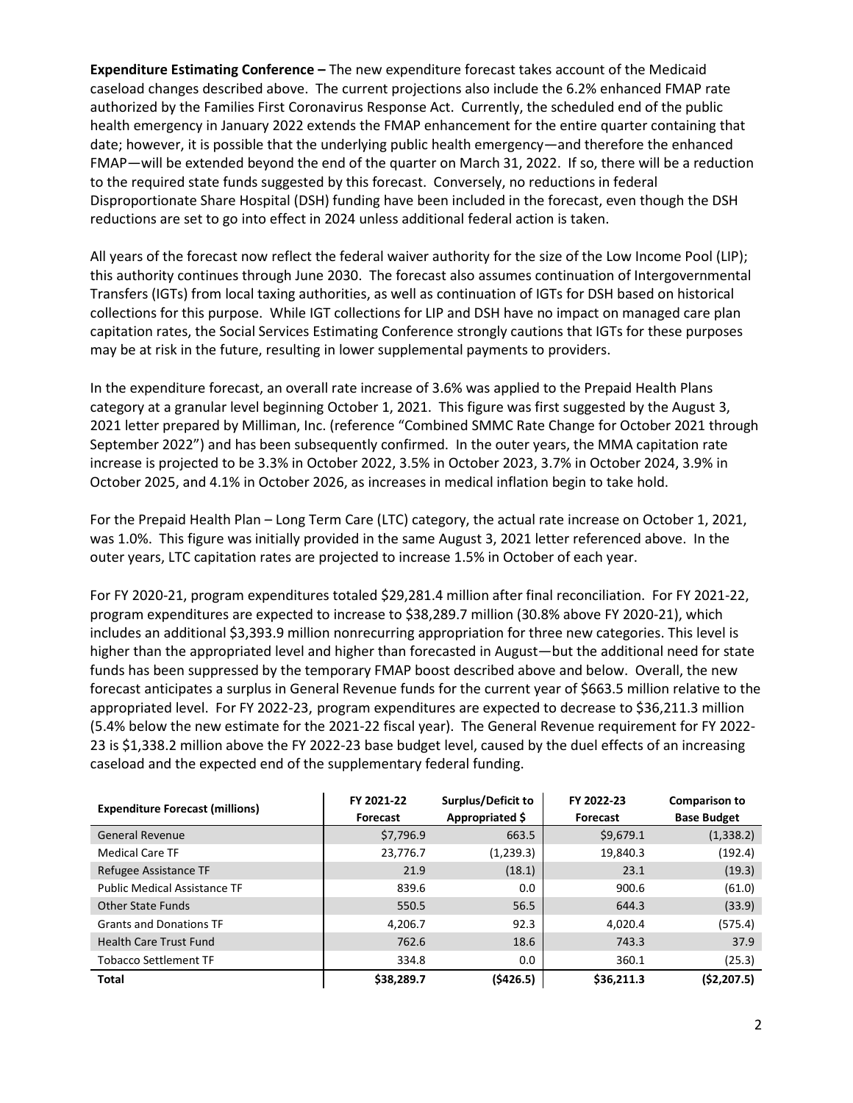**Expenditure Estimating Conference –** The new expenditure forecast takes account of the Medicaid caseload changes described above. The current projections also include the 6.2% enhanced FMAP rate authorized by the Families First Coronavirus Response Act. Currently, the scheduled end of the public health emergency in January 2022 extends the FMAP enhancement for the entire quarter containing that date; however, it is possible that the underlying public health emergency—and therefore the enhanced FMAP—will be extended beyond the end of the quarter on March 31, 2022. If so, there will be a reduction to the required state funds suggested by this forecast. Conversely, no reductions in federal Disproportionate Share Hospital (DSH) funding have been included in the forecast, even though the DSH reductions are set to go into effect in 2024 unless additional federal action is taken.

All years of the forecast now reflect the federal waiver authority for the size of the Low Income Pool (LIP); this authority continues through June 2030. The forecast also assumes continuation of Intergovernmental Transfers (IGTs) from local taxing authorities, as well as continuation of IGTs for DSH based on historical collections for this purpose. While IGT collections for LIP and DSH have no impact on managed care plan capitation rates, the Social Services Estimating Conference strongly cautions that IGTs for these purposes may be at risk in the future, resulting in lower supplemental payments to providers.

In the expenditure forecast, an overall rate increase of 3.6% was applied to the Prepaid Health Plans category at a granular level beginning October 1, 2021. This figure was first suggested by the August 3, 2021 letter prepared by Milliman, Inc. (reference "Combined SMMC Rate Change for October 2021 through September 2022") and has been subsequently confirmed. In the outer years, the MMA capitation rate increase is projected to be 3.3% in October 2022, 3.5% in October 2023, 3.7% in October 2024, 3.9% in October 2025, and 4.1% in October 2026, as increases in medical inflation begin to take hold.

For the Prepaid Health Plan – Long Term Care (LTC) category, the actual rate increase on October 1, 2021, was 1.0%. This figure was initially provided in the same August 3, 2021 letter referenced above. In the outer years, LTC capitation rates are projected to increase 1.5% in October of each year.

For FY 2020-21, program expenditures totaled \$29,281.4 million after final reconciliation. For FY 2021-22, program expenditures are expected to increase to \$38,289.7 million (30.8% above FY 2020-21), which includes an additional \$3,393.9 million nonrecurring appropriation for three new categories. This level is higher than the appropriated level and higher than forecasted in August—but the additional need for state funds has been suppressed by the temporary FMAP boost described above and below. Overall, the new forecast anticipates a surplus in General Revenue funds for the current year of \$663.5 million relative to the appropriated level. For FY 2022-23, program expenditures are expected to decrease to \$36,211.3 million (5.4% below the new estimate for the 2021-22 fiscal year). The General Revenue requirement for FY 2022- 23 is \$1,338.2 million above the FY 2022-23 base budget level, caused by the duel effects of an increasing caseload and the expected end of the supplementary federal funding.

| <b>Expenditure Forecast (millions)</b> | FY 2021-22<br>Forecast | Surplus/Deficit to<br>Appropriated \$ | FY 2022-23<br>Forecast | <b>Comparison to</b><br><b>Base Budget</b> |
|----------------------------------------|------------------------|---------------------------------------|------------------------|--------------------------------------------|
| <b>General Revenue</b>                 | \$7,796.9              | 663.5                                 | \$9,679.1              | (1,338.2)                                  |
| <b>Medical Care TF</b>                 | 23,776.7               | (1,239.3)                             | 19,840.3               | (192.4)                                    |
| Refugee Assistance TF                  | 21.9                   | (18.1)                                | 23.1                   | (19.3)                                     |
| <b>Public Medical Assistance TF</b>    | 839.6                  | 0.0                                   | 900.6                  | (61.0)                                     |
| <b>Other State Funds</b>               | 550.5                  | 56.5                                  | 644.3                  | (33.9)                                     |
| <b>Grants and Donations TF</b>         | 4,206.7                | 92.3                                  | 4,020.4                | (575.4)                                    |
| <b>Health Care Trust Fund</b>          | 762.6                  | 18.6                                  | 743.3                  | 37.9                                       |
| <b>Tobacco Settlement TF</b>           | 334.8                  | 0.0                                   | 360.1                  | (25.3)                                     |
| <b>Total</b>                           | \$38,289.7             | (5426.5)                              | \$36,211.3             | (52, 207.5)                                |